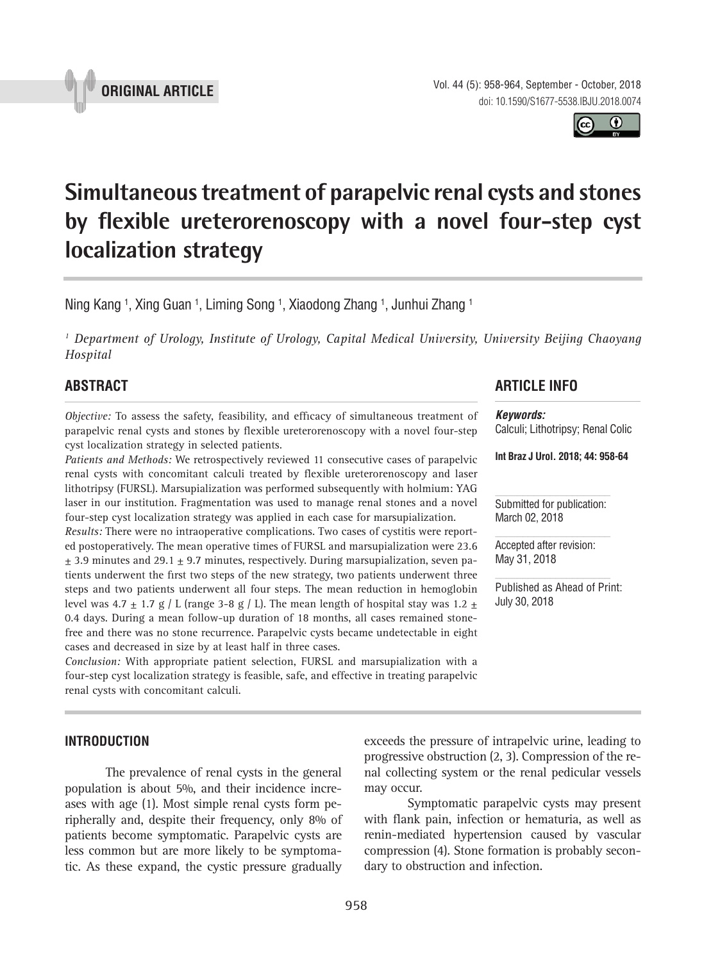Vol. 44 (5): 958-964, September - October, 2018 doi: 10.1590/S1677-5538.IBJU.2018.0074

**Simultaneous treatment of parapelvic renal cysts and stones by flexible ureterorenoscopy with a novel four-step cyst localization strategy \_\_\_\_\_\_\_\_\_\_\_\_\_\_\_\_\_\_\_\_\_\_\_\_\_\_\_\_\_\_\_\_\_\_\_\_\_\_\_\_\_\_\_\_\_\_\_**

Ning Kang <sup>1</sup>, Xing Guan <sup>1</sup>, Liming Song <sup>1</sup>, Xiaodong Zhang <sup>1</sup>, Junhui Zhang <sup>1</sup>

<sup>1</sup> Department of Urology, Institute of Urology, Capital Medical University, University Beijing Chaoyang *Hospital*

# **ABSTRACT**

*Objective:* To assess the safety, feasibility, and efficacy of simultaneous treatment of parapelvic renal cysts and stones by flexible ureterorenoscopy with a novel four-step cyst localization strategy in selected patients.

*Patients and Methods:* We retrospectively reviewed 11 consecutive cases of parapelvic renal cysts with concomitant calculi treated by flexible ureterorenoscopy and laser lithotripsy (FURSL). Marsupialization was performed subsequently with holmium: YAG laser in our institution. Fragmentation was used to manage renal stones and a novel four-step cyst localization strategy was applied in each case for marsupialization.

*Results:* There were no intraoperative complications. Two cases of cystitis were reported postoperatively. The mean operative times of FURSL and marsupialization were 23.6  $\pm$  3.9 minutes and 29.1  $\pm$  9.7 minutes, respectively. During marsupialization, seven patients underwent the first two steps of the new strategy, two patients underwent three steps and two patients underwent all four steps. The mean reduction in hemoglobin level was 4.7  $\pm$  1.7 g / L (range 3-8 g / L). The mean length of hospital stay was 1.2  $\pm$ 0.4 days. During a mean follow-up duration of 18 months, all cases remained stonefree and there was no stone recurrence. Parapelvic cysts became undetectable in eight cases and decreased in size by at least half in three cases.

*Conclusion:* With appropriate patient selection, FURSL and marsupialization with a four-step cyst localization strategy is feasible, safe, and effective in treating parapelvic renal cysts with concomitant calculi.

## **INTRODUCTION**

The prevalence of renal cysts in the general population is about 5%, and their incidence increases with age (1). Most simple renal cysts form peripherally and, despite their frequency, only 8% of patients become symptomatic. Parapelvic cysts are less common but are more likely to be symptomatic. As these expand, the cystic pressure gradually exceeds the pressure of intrapelvic urine, leading to progressive obstruction (2, 3). Compression of the renal collecting system or the renal pedicular vessels may occur.

Symptomatic parapelvic cysts may present with flank pain, infection or hematuria, as well as renin-mediated hypertension caused by vascular compression (4). Stone formation is probably secondary to obstruction and infection.

# **ARTICLE INFO**

#### *Keywords:*

Calculi; Lithotripsy; Renal Colic

**Int Braz J Urol. 2018; 44: 958-64**

Submitted for publication: March 02, 2018

Accepted after revision: May 31, 2018

Published as Ahead of Print: July 30, 2018



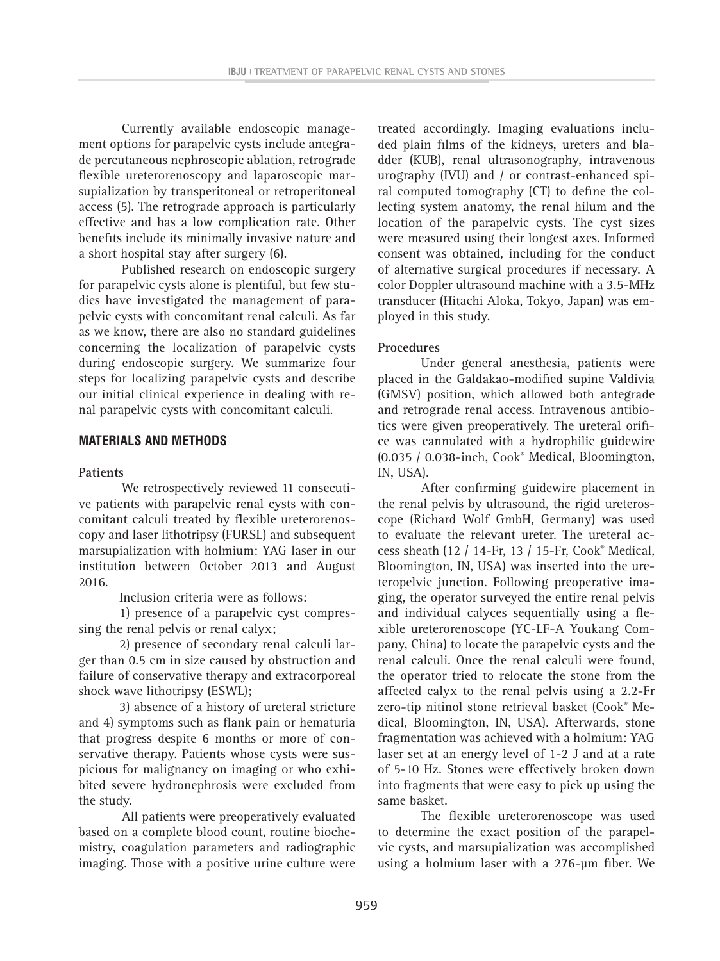Currently available endoscopic management options for parapelvic cysts include antegrade percutaneous nephroscopic ablation, retrograde flexible ureterorenoscopy and laparoscopic marsupialization by transperitoneal or retroperitoneal access (5). The retrograde approach is particularly effective and has a low complication rate. Other benefits include its minimally invasive nature and a short hospital stay after surgery (6).

Published research on endoscopic surgery for parapelvic cysts alone is plentiful, but few studies have investigated the management of parapelvic cysts with concomitant renal calculi. As far as we know, there are also no standard guidelines concerning the localization of parapelvic cysts during endoscopic surgery. We summarize four steps for localizing parapelvic cysts and describe our initial clinical experience in dealing with renal parapelvic cysts with concomitant calculi.

## **MATERIALS AND METHODS**

### **Patients**

We retrospectively reviewed 11 consecutive patients with parapelvic renal cysts with concomitant calculi treated by flexible ureterorenoscopy and laser lithotripsy (FURSL) and subsequent marsupialization with holmium: YAG laser in our institution between October 2013 and August 2016.

Inclusion criteria were as follows:

1) presence of a parapelvic cyst compressing the renal pelvis or renal calyx;

2) presence of secondary renal calculi larger than 0.5 cm in size caused by obstruction and failure of conservative therapy and extracorporeal shock wave lithotripsy (ESWL);

3) absence of a history of ureteral stricture and 4) symptoms such as flank pain or hematuria that progress despite 6 months or more of conservative therapy. Patients whose cysts were suspicious for malignancy on imaging or who exhibited severe hydronephrosis were excluded from the study.

All patients were preoperatively evaluated based on a complete blood count, routine biochemistry, coagulation parameters and radiographic imaging. Those with a positive urine culture were treated accordingly. Imaging evaluations included plain films of the kidneys, ureters and bladder (KUB), renal ultrasonography, intravenous urography (IVU) and / or contrast-enhanced spiral computed tomography (CT) to define the collecting system anatomy, the renal hilum and the location of the parapelvic cysts. The cyst sizes were measured using their longest axes. Informed consent was obtained, including for the conduct of alternative surgical procedures if necessary. A color Doppler ultrasound machine with a 3.5-MHz transducer (Hitachi Aloka, Tokyo, Japan) was employed in this study.

#### **Procedures**

Under general anesthesia, patients were placed in the Galdakao-modified supine Valdivia (GMSV) position, which allowed both antegrade and retrograde renal access. Intravenous antibiotics were given preoperatively. The ureteral orifice was cannulated with a hydrophilic guidewire (0.035 / 0.038-inch, Cook® Medical, Bloomington, IN, USA).

After confirming guidewire placement in the renal pelvis by ultrasound, the rigid ureteroscope (Richard Wolf GmbH, Germany) was used to evaluate the relevant ureter. The ureteral access sheath (12 / 14-Fr, 13 / 15-Fr, Cook® Medical, Bloomington, IN, USA) was inserted into the ureteropelvic junction. Following preoperative imaging, the operator surveyed the entire renal pelvis and individual calyces sequentially using a flexible ureterorenoscope (YC-LF-A Youkang Company, China) to locate the parapelvic cysts and the renal calculi. Once the renal calculi were found, the operator tried to relocate the stone from the affected calyx to the renal pelvis using a 2.2-Fr zero-tip nitinol stone retrieval basket (Cook® Medical, Bloomington, IN, USA). Afterwards, stone fragmentation was achieved with a holmium: YAG laser set at an energy level of 1-2 J and at a rate of 5-10 Hz. Stones were effectively broken down into fragments that were easy to pick up using the same basket.

The flexible ureterorenoscope was used to determine the exact position of the parapelvic cysts, and marsupialization was accomplished using a holmium laser with a 276-µm fiber. We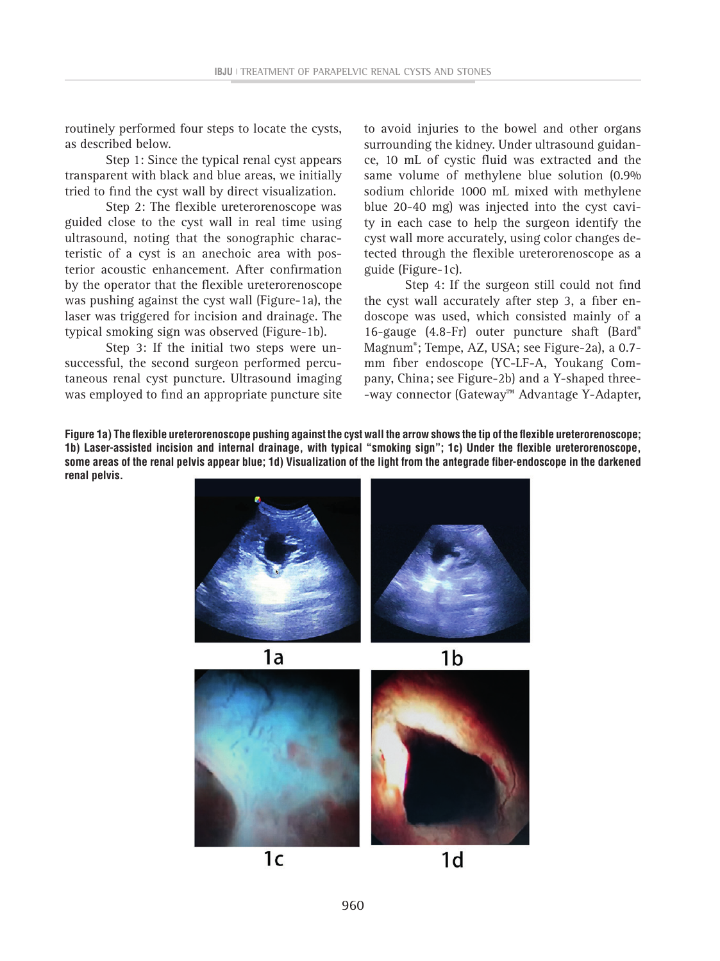routinely performed four steps to locate the cysts, as described below.

Step 1: Since the typical renal cyst appears transparent with black and blue areas, we initially tried to find the cyst wall by direct visualization.

Step 2: The flexible ureterorenoscope was guided close to the cyst wall in real time using ultrasound, noting that the sonographic characteristic of a cyst is an anechoic area with posterior acoustic enhancement. After confirmation by the operator that the flexible ureterorenoscope was pushing against the cyst wall (Figure-1a), the laser was triggered for incision and drainage. The typical smoking sign was observed (Figure-1b).

Step 3: If the initial two steps were unsuccessful, the second surgeon performed percutaneous renal cyst puncture. Ultrasound imaging was employed to find an appropriate puncture site

to avoid injuries to the bowel and other organs surrounding the kidney. Under ultrasound guidance, 10 mL of cystic fluid was extracted and the same volume of methylene blue solution (0.9% sodium chloride 1000 mL mixed with methylene blue 20-40 mg) was injected into the cyst cavity in each case to help the surgeon identify the cyst wall more accurately, using color changes detected through the flexible ureterorenoscope as a guide (Figure-1c).

Step 4: If the surgeon still could not find the cyst wall accurately after step 3, a fiber endoscope was used, which consisted mainly of a 16-gauge (4.8-Fr) outer puncture shaft (Bard® Magnum® ; Tempe, AZ, USA; see Figure-2a), a 0.7 mm fiber endoscope (YC-LF-A, Youkang Company, China; see Figure-2b) and a Y-shaped three- -way connector (Gateway™ Advantage Y-Adapter,

**Figure 1a) The flexible ureterorenoscope pushing against the cyst wall the arrow shows the tip of the flexible ureterorenoscope; 1b) Laser-assisted incision and internal drainage, with typical "smoking sign"; 1c) Under the flexible ureterorenoscope, some areas of the renal pelvis appear blue; 1d) Visualization of the light from the antegrade fiber-endoscope in the darkened renal pelvis.**

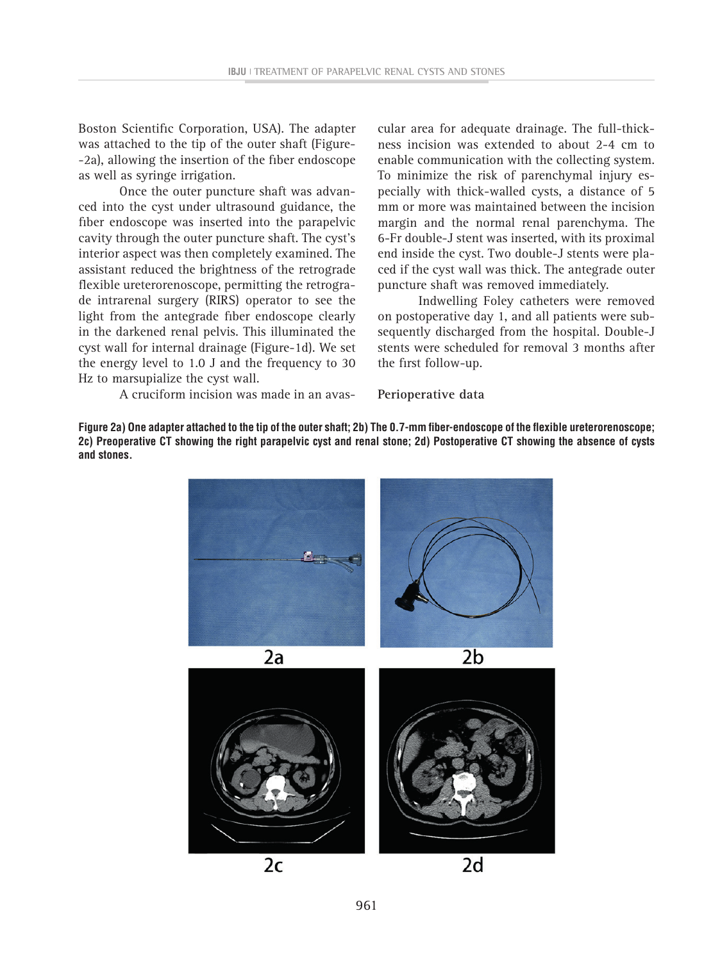Boston Scientific Corporation, USA). The adapter was attached to the tip of the outer shaft (Figure- -2a), allowing the insertion of the fiber endoscope as well as syringe irrigation.

Once the outer puncture shaft was advanced into the cyst under ultrasound guidance, the fiber endoscope was inserted into the parapelvic cavity through the outer puncture shaft. The cyst's interior aspect was then completely examined. The assistant reduced the brightness of the retrograde flexible ureterorenoscope, permitting the retrograde intrarenal surgery (RIRS) operator to see the light from the antegrade fiber endoscope clearly in the darkened renal pelvis. This illuminated the cyst wall for internal drainage (Figure-1d). We set the energy level to 1.0 J and the frequency to 30 Hz to marsupialize the cyst wall.

cular area for adequate drainage. The full-thickness incision was extended to about 2-4 cm to enable communication with the collecting system. To minimize the risk of parenchymal injury especially with thick-walled cysts, a distance of 5 mm or more was maintained between the incision margin and the normal renal parenchyma. The 6-Fr double-J stent was inserted, with its proximal end inside the cyst. Two double-J stents were placed if the cyst wall was thick. The antegrade outer puncture shaft was removed immediately.

Indwelling Foley catheters were removed on postoperative day 1, and all patients were subsequently discharged from the hospital. Double-J stents were scheduled for removal 3 months after the first follow-up.

A cruciform incision was made in an avas-

**Perioperative data**

**Figure 2a) One adapter attached to the tip of the outer shaft; 2b) The 0.7-mm fiber-endoscope of the flexible ureterorenoscope; 2c) Preoperative CT showing the right parapelvic cyst and renal stone; 2d) Postoperative CT showing the absence of cysts and stones.**

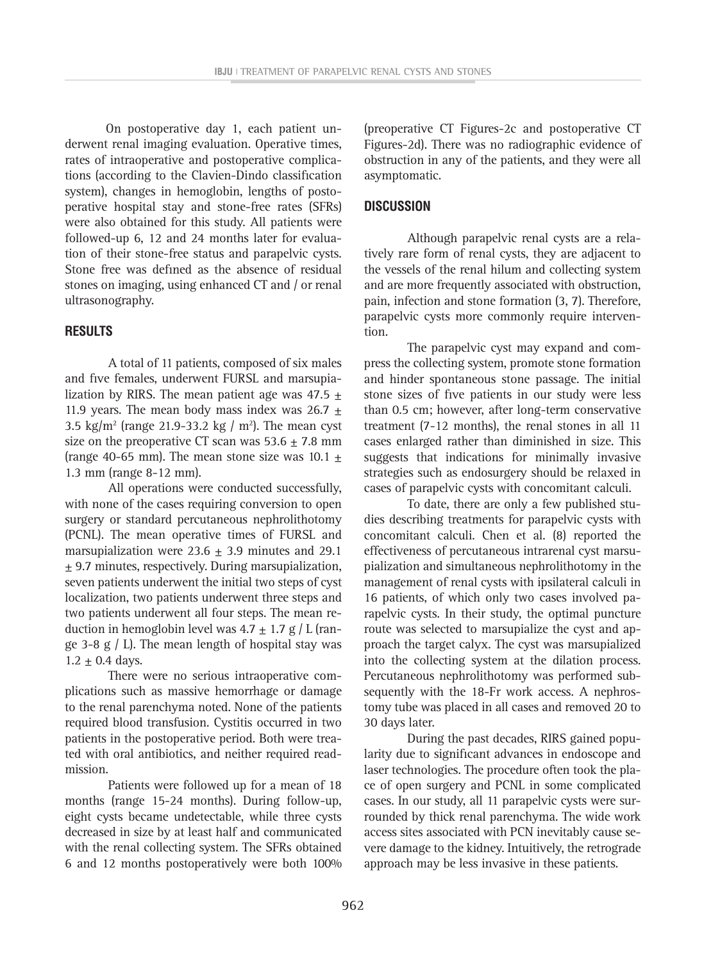On postoperative day 1, each patient underwent renal imaging evaluation. Operative times, rates of intraoperative and postoperative complications (according to the Clavien-Dindo classification system), changes in hemoglobin, lengths of postoperative hospital stay and stone-free rates (SFRs) were also obtained for this study. All patients were followed-up 6, 12 and 24 months later for evaluation of their stone-free status and parapelvic cysts. Stone free was defined as the absence of residual stones on imaging, using enhanced CT and / or renal ultrasonography.

## **RESULTS**

A total of 11 patients, composed of six males and five females, underwent FURSL and marsupialization by RIRS. The mean patient age was 47.5  $\pm$ 11.9 years. The mean body mass index was  $26.7 \pm$ 3.5 kg/m<sup>2</sup> (range 21.9-33.2 kg / m<sup>2</sup>). The mean cyst size on the preoperative CT scan was  $53.6 \pm 7.8$  mm (range 40-65 mm). The mean stone size was 10.1  $\pm$ 1.3 mm (range 8-12 mm).

All operations were conducted successfully, with none of the cases requiring conversion to open surgery or standard percutaneous nephrolithotomy (PCNL). The mean operative times of FURSL and marsupialization were 23.6  $\pm$  3.9 minutes and 29.1 ± 9.7 minutes, respectively. During marsupialization, seven patients underwent the initial two steps of cyst localization, two patients underwent three steps and two patients underwent all four steps. The mean reduction in hemoglobin level was  $4.7 \pm 1.7$  g / L (range  $3-8$  g  $/$  L). The mean length of hospital stay was  $1.2 \pm 0.4$  days.

There were no serious intraoperative complications such as massive hemorrhage or damage to the renal parenchyma noted. None of the patients required blood transfusion. Cystitis occurred in two patients in the postoperative period. Both were treated with oral antibiotics, and neither required readmission.

Patients were followed up for a mean of 18 months (range 15-24 months). During follow-up, eight cysts became undetectable, while three cysts decreased in size by at least half and communicated with the renal collecting system. The SFRs obtained 6 and 12 months postoperatively were both 100% (preoperative CT Figures-2c and postoperative CT Figures-2d). There was no radiographic evidence of obstruction in any of the patients, and they were all asymptomatic.

## **DISCUSSION**

Although parapelvic renal cysts are a relatively rare form of renal cysts, they are adjacent to the vessels of the renal hilum and collecting system and are more frequently associated with obstruction, pain, infection and stone formation (3, 7). Therefore, parapelvic cysts more commonly require intervention.

The parapelvic cyst may expand and compress the collecting system, promote stone formation and hinder spontaneous stone passage. The initial stone sizes of five patients in our study were less than 0.5 cm; however, after long-term conservative treatment (7-12 months), the renal stones in all 11 cases enlarged rather than diminished in size. This suggests that indications for minimally invasive strategies such as endosurgery should be relaxed in cases of parapelvic cysts with concomitant calculi.

To date, there are only a few published studies describing treatments for parapelvic cysts with concomitant calculi. Chen et al. (8) reported the effectiveness of percutaneous intrarenal cyst marsupialization and simultaneous nephrolithotomy in the management of renal cysts with ipsilateral calculi in 16 patients, of which only two cases involved parapelvic cysts. In their study, the optimal puncture route was selected to marsupialize the cyst and approach the target calyx. The cyst was marsupialized into the collecting system at the dilation process. Percutaneous nephrolithotomy was performed subsequently with the 18-Fr work access. A nephrostomy tube was placed in all cases and removed 20 to 30 days later.

During the past decades, RIRS gained popularity due to significant advances in endoscope and laser technologies. The procedure often took the place of open surgery and PCNL in some complicated cases. In our study, all 11 parapelvic cysts were surrounded by thick renal parenchyma. The wide work access sites associated with PCN inevitably cause severe damage to the kidney. Intuitively, the retrograde approach may be less invasive in these patients.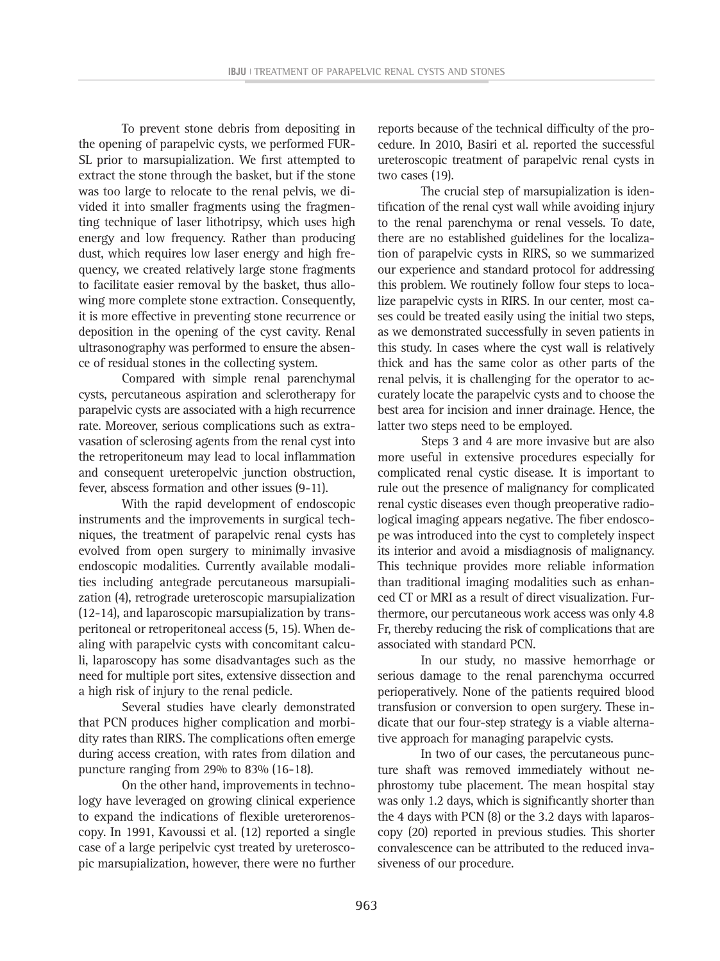To prevent stone debris from depositing in the opening of parapelvic cysts, we performed FUR-SL prior to marsupialization. We first attempted to extract the stone through the basket, but if the stone was too large to relocate to the renal pelvis, we divided it into smaller fragments using the fragmenting technique of laser lithotripsy, which uses high energy and low frequency. Rather than producing dust, which requires low laser energy and high frequency, we created relatively large stone fragments to facilitate easier removal by the basket, thus allowing more complete stone extraction. Consequently, it is more effective in preventing stone recurrence or deposition in the opening of the cyst cavity. Renal ultrasonography was performed to ensure the absence of residual stones in the collecting system.

Compared with simple renal parenchymal cysts, percutaneous aspiration and sclerotherapy for parapelvic cysts are associated with a high recurrence rate. Moreover, serious complications such as extravasation of sclerosing agents from the renal cyst into the retroperitoneum may lead to local inflammation and consequent ureteropelvic junction obstruction, fever, abscess formation and other issues (9-11).

With the rapid development of endoscopic instruments and the improvements in surgical techniques, the treatment of parapelvic renal cysts has evolved from open surgery to minimally invasive endoscopic modalities. Currently available modalities including antegrade percutaneous marsupialization (4), retrograde ureteroscopic marsupialization (12-14), and laparoscopic marsupialization by transperitoneal or retroperitoneal access (5, 15). When dealing with parapelvic cysts with concomitant calculi, laparoscopy has some disadvantages such as the need for multiple port sites, extensive dissection and a high risk of injury to the renal pedicle.

Several studies have clearly demonstrated that PCN produces higher complication and morbidity rates than RIRS. The complications often emerge during access creation, with rates from dilation and puncture ranging from 29% to 83% (16-18).

On the other hand, improvements in technology have leveraged on growing clinical experience to expand the indications of flexible ureterorenoscopy. In 1991, Kavoussi et al. (12) reported a single case of a large peripelvic cyst treated by ureteroscopic marsupialization, however, there were no further reports because of the technical difficulty of the procedure. In 2010, Basiri et al. reported the successful ureteroscopic treatment of parapelvic renal cysts in two cases (19).

The crucial step of marsupialization is identification of the renal cyst wall while avoiding injury to the renal parenchyma or renal vessels. To date, there are no established guidelines for the localization of parapelvic cysts in RIRS, so we summarized our experience and standard protocol for addressing this problem. We routinely follow four steps to localize parapelvic cysts in RIRS. In our center, most cases could be treated easily using the initial two steps, as we demonstrated successfully in seven patients in this study. In cases where the cyst wall is relatively thick and has the same color as other parts of the renal pelvis, it is challenging for the operator to accurately locate the parapelvic cysts and to choose the best area for incision and inner drainage. Hence, the latter two steps need to be employed.

Steps 3 and 4 are more invasive but are also more useful in extensive procedures especially for complicated renal cystic disease. It is important to rule out the presence of malignancy for complicated renal cystic diseases even though preoperative radiological imaging appears negative. The fiber endoscope was introduced into the cyst to completely inspect its interior and avoid a misdiagnosis of malignancy. This technique provides more reliable information than traditional imaging modalities such as enhanced CT or MRI as a result of direct visualization. Furthermore, our percutaneous work access was only 4.8 Fr, thereby reducing the risk of complications that are associated with standard PCN.

In our study, no massive hemorrhage or serious damage to the renal parenchyma occurred perioperatively. None of the patients required blood transfusion or conversion to open surgery. These indicate that our four-step strategy is a viable alternative approach for managing parapelvic cysts.

In two of our cases, the percutaneous puncture shaft was removed immediately without nephrostomy tube placement. The mean hospital stay was only 1.2 days, which is significantly shorter than the 4 days with PCN (8) or the 3.2 days with laparoscopy (20) reported in previous studies. This shorter convalescence can be attributed to the reduced invasiveness of our procedure.